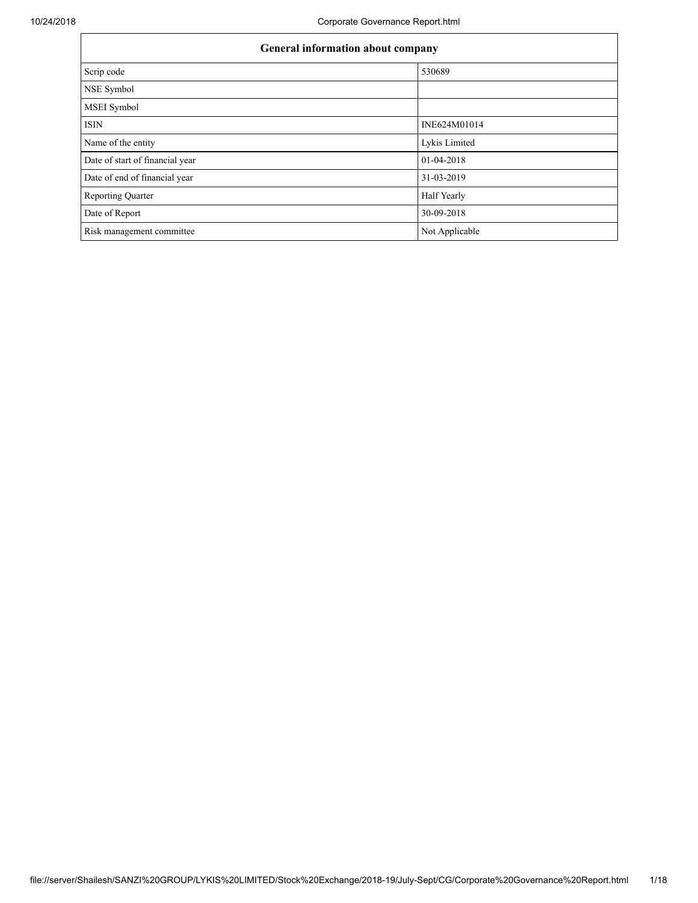| General information about company |                |  |  |
|-----------------------------------|----------------|--|--|
| Scrip code                        | 530689         |  |  |
| NSE Symbol                        |                |  |  |
| MSEI Symbol                       |                |  |  |
| <b>ISIN</b>                       | INE624M01014   |  |  |
| Name of the entity                | Lykis Limited  |  |  |
| Date of start of financial year   | 01-04-2018     |  |  |
| Date of end of financial year     | 31-03-2019     |  |  |
| <b>Reporting Quarter</b>          | Half Yearly    |  |  |
| Date of Report                    | 30-09-2018     |  |  |
| Risk management committee         | Not Applicable |  |  |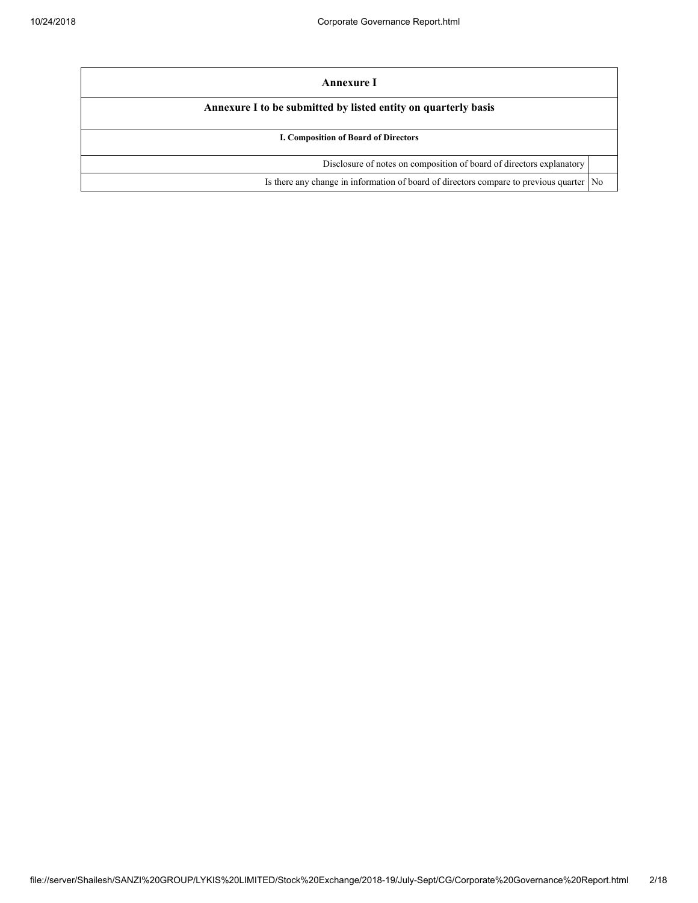| Annexure I                                                                                |  |
|-------------------------------------------------------------------------------------------|--|
| Annexure I to be submitted by listed entity on quarterly basis                            |  |
| I. Composition of Board of Directors                                                      |  |
| Disclosure of notes on composition of board of directors explanatory                      |  |
| Is there any change in information of board of directors compare to previous quarter   No |  |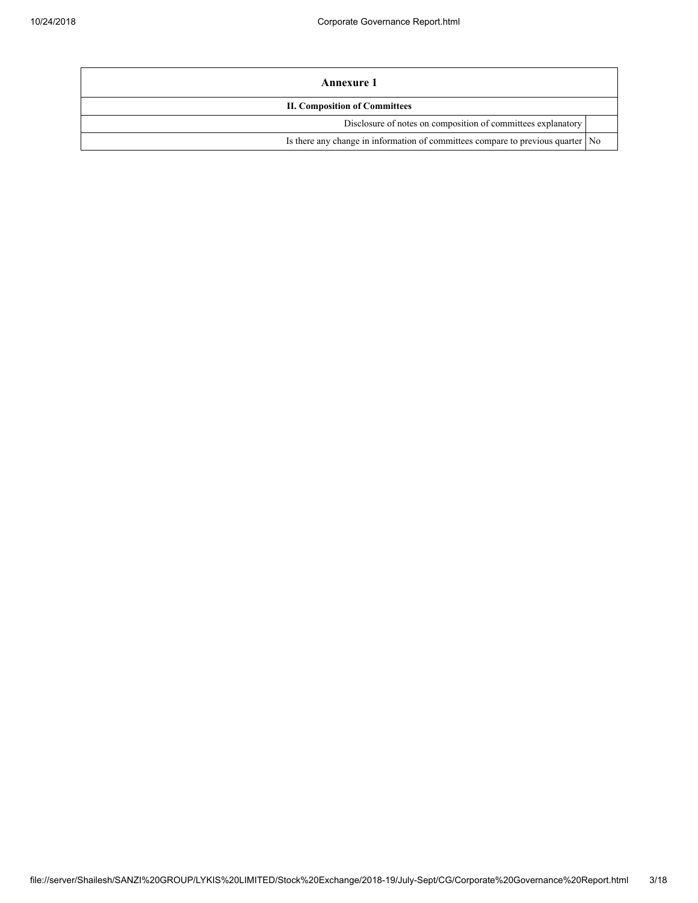| Annexure 1                                                                        |  |  |
|-----------------------------------------------------------------------------------|--|--|
| <b>II. Composition of Committees</b>                                              |  |  |
| Disclosure of notes on composition of committees explanatory                      |  |  |
| Is there any change in information of committees compare to previous quarter   No |  |  |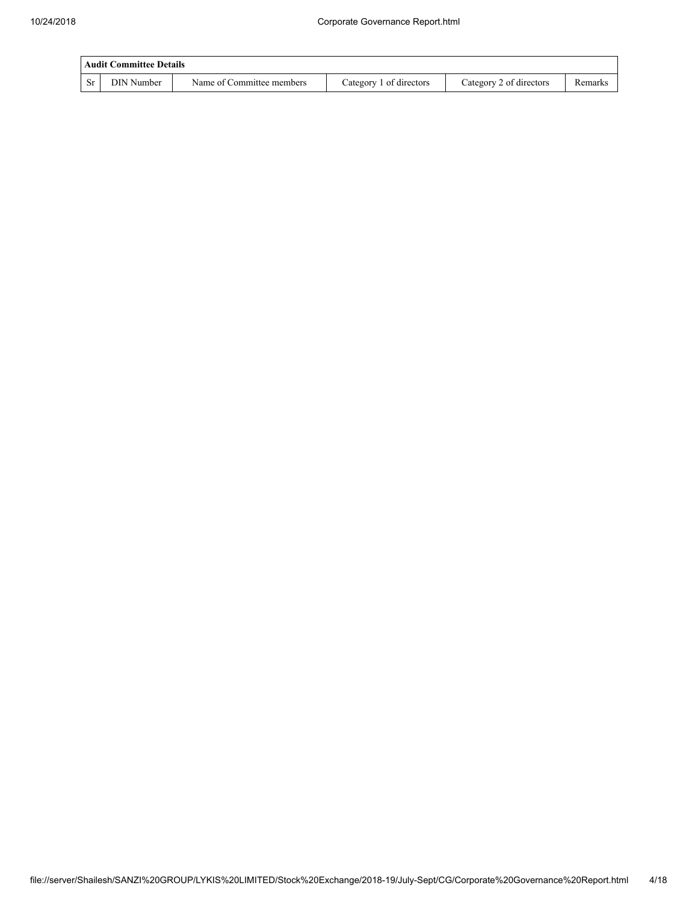|         | Audit Committee Details |                           |                         |                         |         |  |
|---------|-------------------------|---------------------------|-------------------------|-------------------------|---------|--|
| $C_{r}$ | DIN Number              | Name of Committee members | Category 1 of directors | Category 2 of directors | Remarks |  |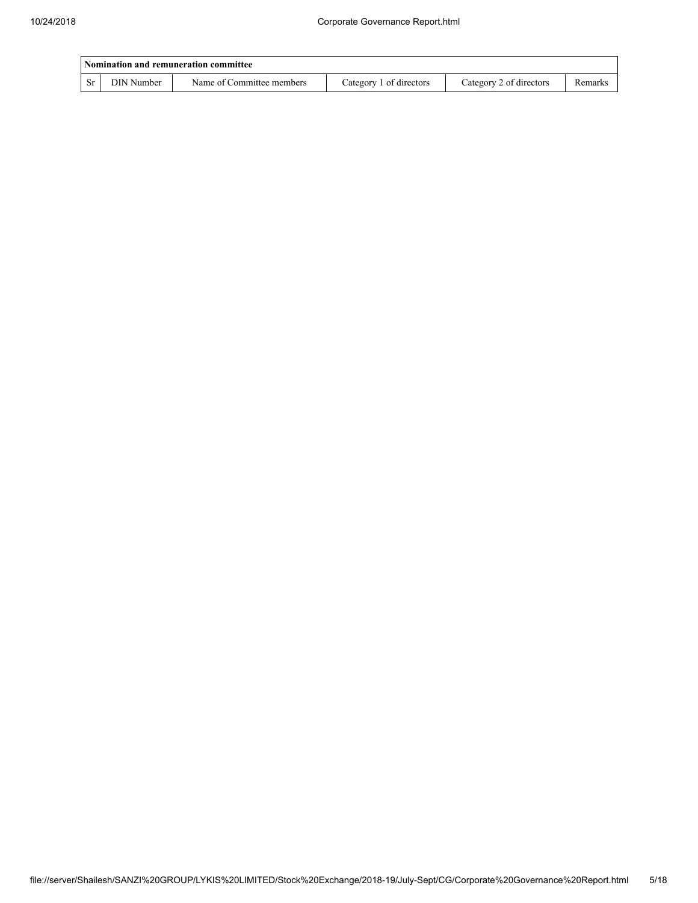| Nomination and remuneration committee |                   |                           |                         |                         |         |  |
|---------------------------------------|-------------------|---------------------------|-------------------------|-------------------------|---------|--|
| <b>Sr</b>                             | <b>DIN Number</b> | Name of Committee members | Category 1 of directors | Category 2 of directors | Remarks |  |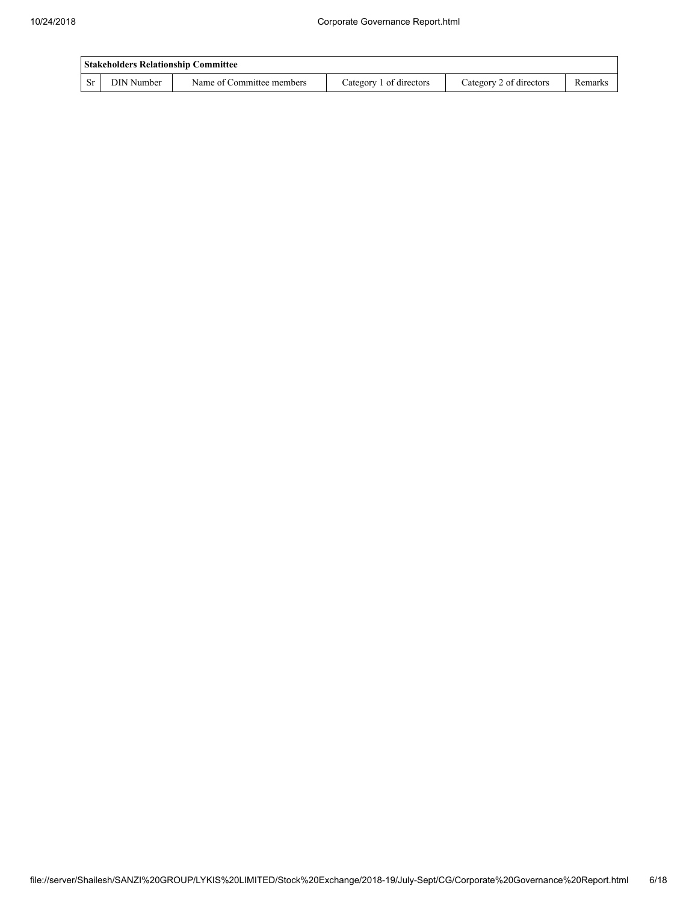| Stakeholders Relationship Committee |            |                           |                         |                         |         |
|-------------------------------------|------------|---------------------------|-------------------------|-------------------------|---------|
|                                     | DIN Number | Name of Committee members | Category 1 of directors | Category 2 of directors | Remarks |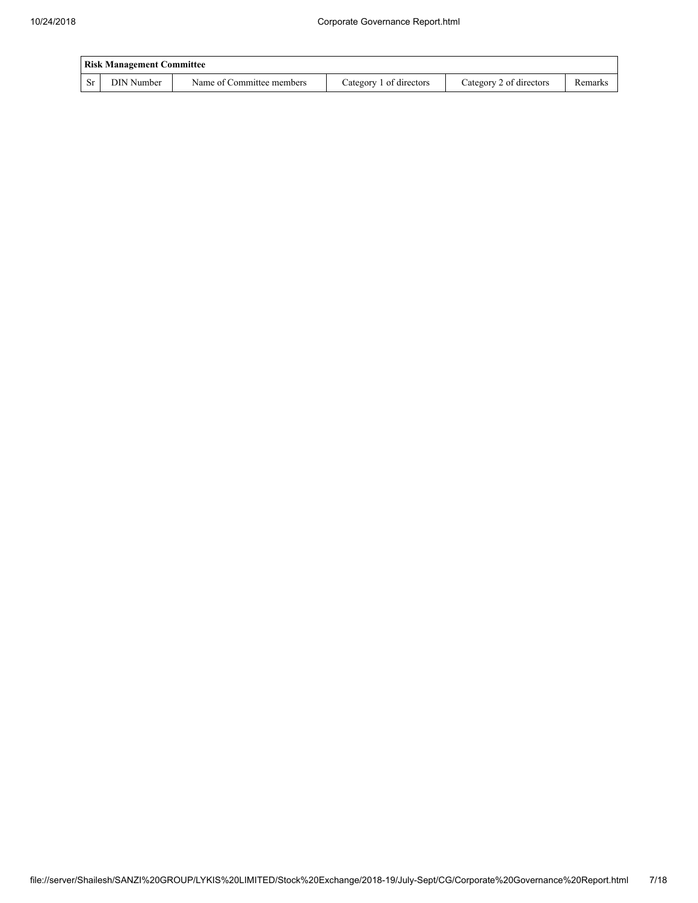|           | <b>Risk Management Committee</b> |                           |                         |                         |         |  |
|-----------|----------------------------------|---------------------------|-------------------------|-------------------------|---------|--|
| <b>Sr</b> | DIN Number                       | Name of Committee members | Category 1 of directors | Category 2 of directors | Remarks |  |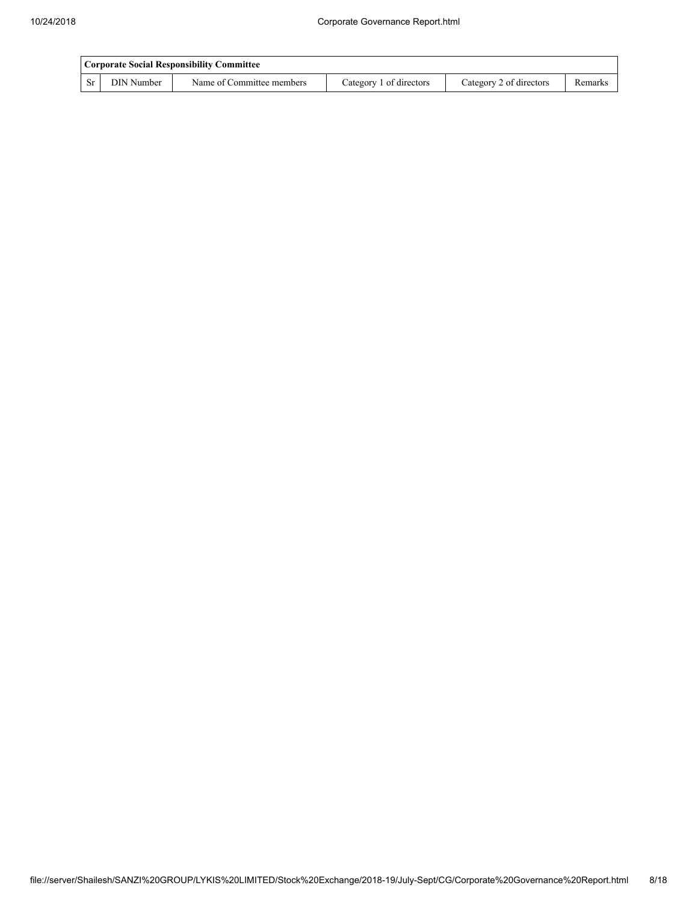|                         | Corporate Social Responsibility Committee |                           |                         |                         |         |  |
|-------------------------|-------------------------------------------|---------------------------|-------------------------|-------------------------|---------|--|
| $\mathsf{S} \mathbf{r}$ | DIN Number                                | Name of Committee members | Category 1 of directors | Category 2 of directors | Remarks |  |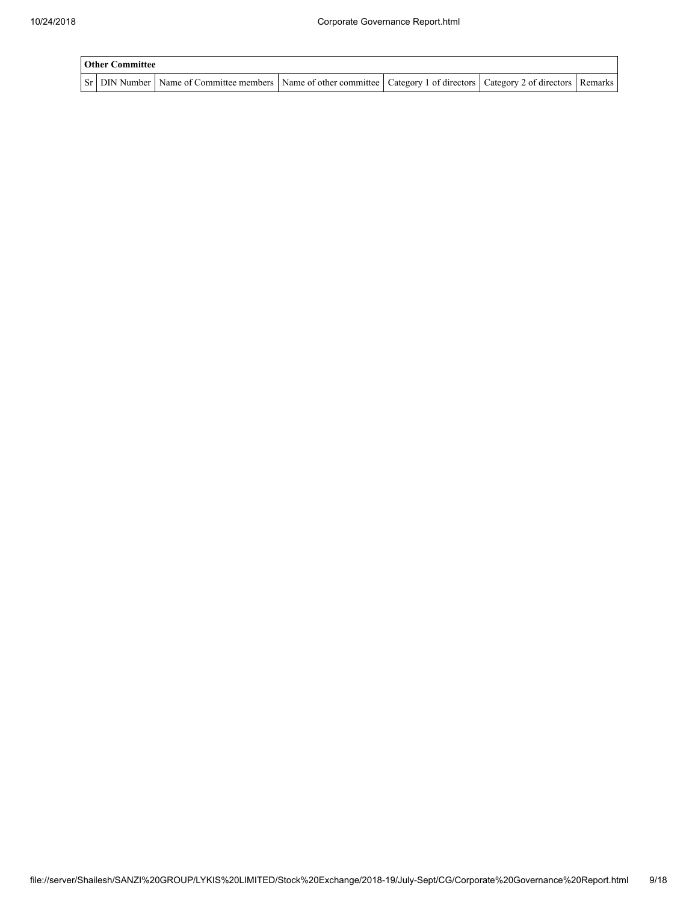| <b>Other Committee</b> |                                                                                                                                     |  |  |  |  |
|------------------------|-------------------------------------------------------------------------------------------------------------------------------------|--|--|--|--|
|                        | Sr   DIN Number   Name of Committee members   Name of other committee   Category 1 of directors   Category 2 of directors   Remarks |  |  |  |  |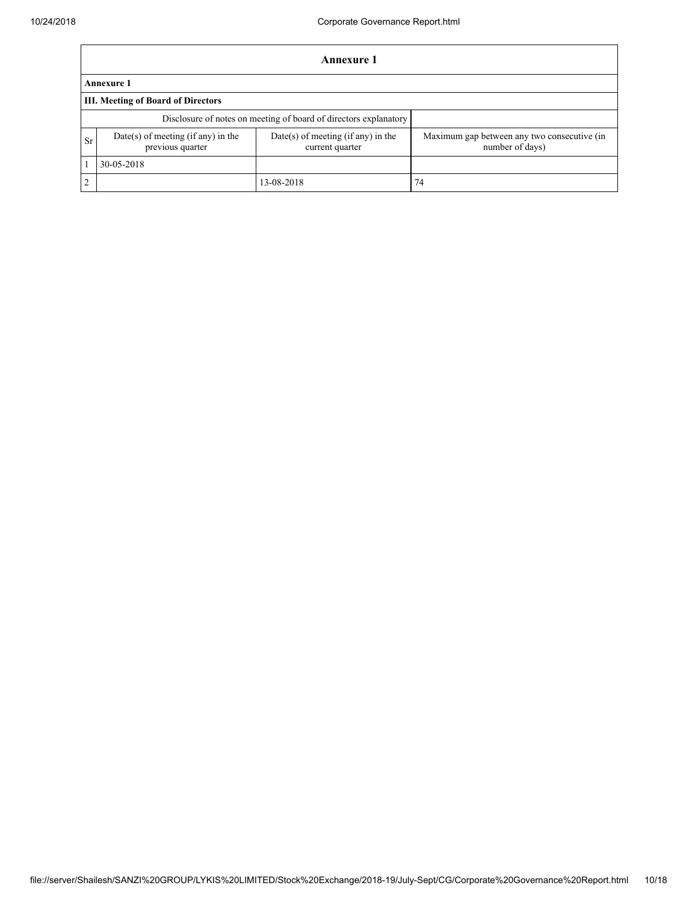Г

|                | Annexure 1                                             |                                                                  |                                                                |  |  |  |
|----------------|--------------------------------------------------------|------------------------------------------------------------------|----------------------------------------------------------------|--|--|--|
|                | <b>Annexure 1</b>                                      |                                                                  |                                                                |  |  |  |
|                | III. Meeting of Board of Directors                     |                                                                  |                                                                |  |  |  |
|                |                                                        | Disclosure of notes on meeting of board of directors explanatory |                                                                |  |  |  |
| Sr             | Date(s) of meeting (if any) in the<br>previous quarter | $Date(s)$ of meeting (if any) in the<br>current quarter          | Maximum gap between any two consecutive (in<br>number of days) |  |  |  |
|                | 30-05-2018                                             |                                                                  |                                                                |  |  |  |
| $\overline{2}$ |                                                        | 13-08-2018                                                       | 74                                                             |  |  |  |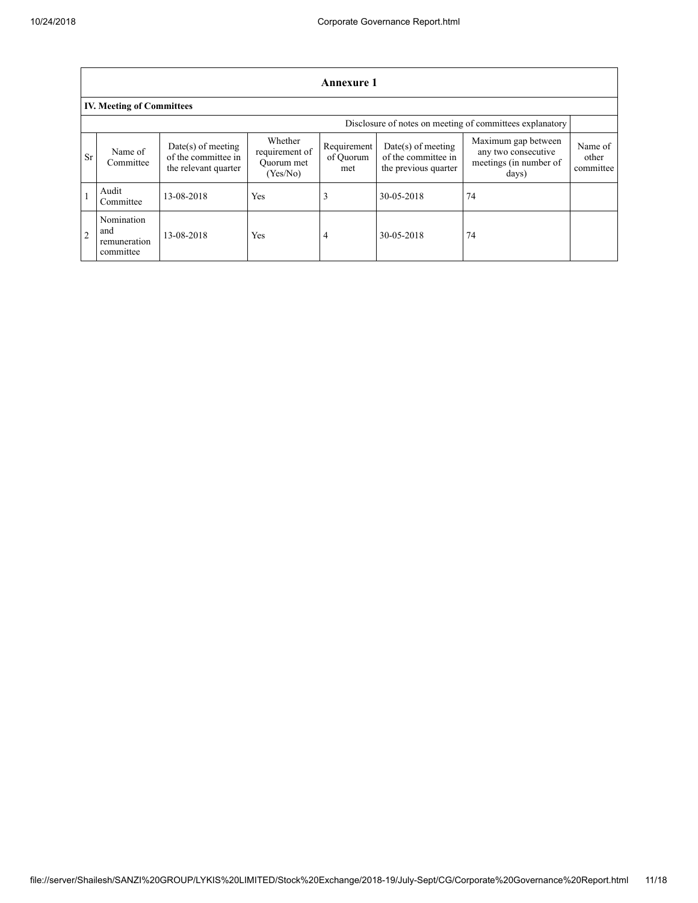|                | Annexure 1                                     |                                                                     |                                                     |                                 |                                                                     |                                                                               |                               |  |  |
|----------------|------------------------------------------------|---------------------------------------------------------------------|-----------------------------------------------------|---------------------------------|---------------------------------------------------------------------|-------------------------------------------------------------------------------|-------------------------------|--|--|
|                | <b>IV. Meeting of Committees</b>               |                                                                     |                                                     |                                 |                                                                     |                                                                               |                               |  |  |
|                |                                                |                                                                     |                                                     |                                 |                                                                     | Disclosure of notes on meeting of committees explanatory                      |                               |  |  |
| <b>Sr</b>      | Name of<br>Committee                           | $Date(s)$ of meeting<br>of the committee in<br>the relevant quarter | Whether<br>requirement of<br>Ouorum met<br>(Yes/No) | Requirement<br>of Ouorum<br>met | $Date(s)$ of meeting<br>of the committee in<br>the previous quarter | Maximum gap between<br>any two consecutive<br>meetings (in number of<br>days) | Name of<br>other<br>committee |  |  |
|                | Audit<br>Committee                             | 13-08-2018                                                          | Yes                                                 |                                 | 30-05-2018                                                          | 74                                                                            |                               |  |  |
| $\overline{2}$ | Nomination<br>and<br>remuneration<br>committee | 13-08-2018                                                          | Yes                                                 | 4                               | 30-05-2018                                                          | 74                                                                            |                               |  |  |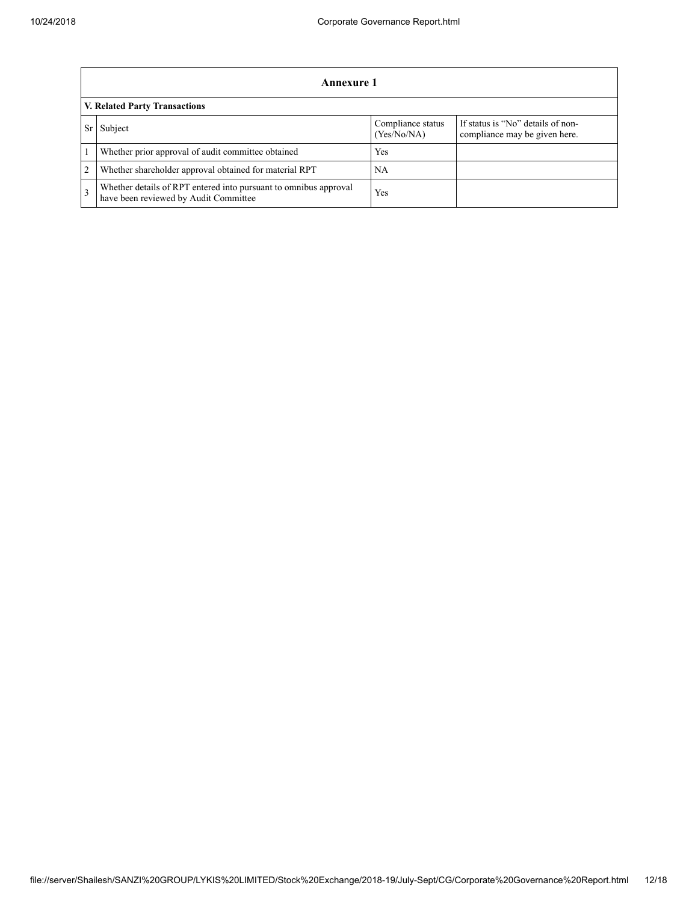|               | Annexure 1                                                                                                |                                  |                                                                    |  |  |  |
|---------------|-----------------------------------------------------------------------------------------------------------|----------------------------------|--------------------------------------------------------------------|--|--|--|
|               | V. Related Party Transactions                                                                             |                                  |                                                                    |  |  |  |
|               | Subject                                                                                                   | Compliance status<br>(Yes/No/NA) | If status is "No" details of non-<br>compliance may be given here. |  |  |  |
|               | Whether prior approval of audit committee obtained                                                        | Yes                              |                                                                    |  |  |  |
| 2             | Whether shareholder approval obtained for material RPT                                                    | NA                               |                                                                    |  |  |  |
| $\mathcal{E}$ | Whether details of RPT entered into pursuant to omnibus approval<br>have been reviewed by Audit Committee | Yes                              |                                                                    |  |  |  |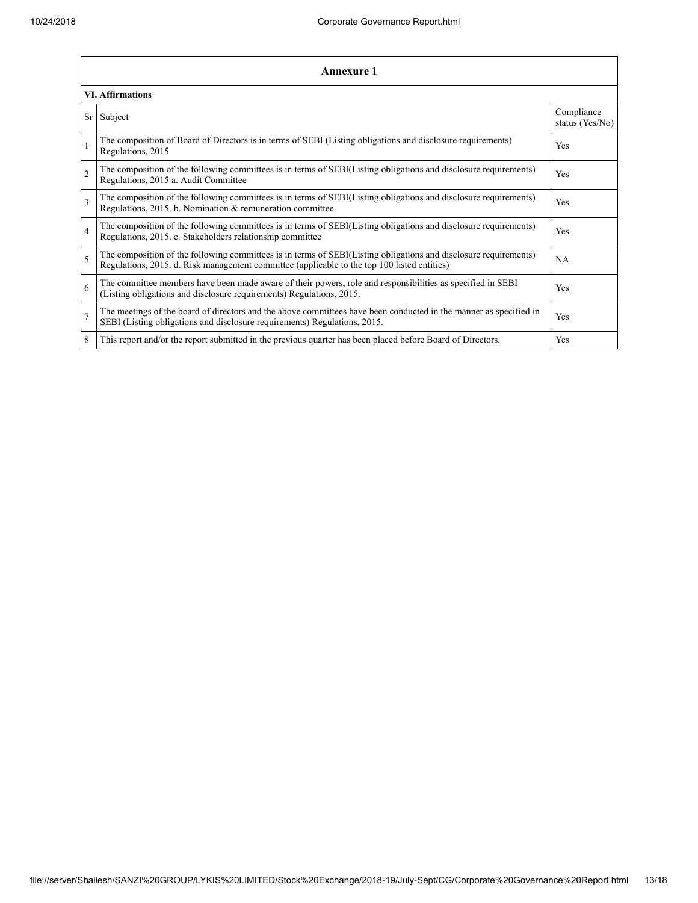| Annexure 1     |                                                                                                                                                                                                                 |                               |  |  |  |
|----------------|-----------------------------------------------------------------------------------------------------------------------------------------------------------------------------------------------------------------|-------------------------------|--|--|--|
|                | <b>VI.</b> Affirmations                                                                                                                                                                                         |                               |  |  |  |
| Sr             | Subject                                                                                                                                                                                                         | Compliance<br>status (Yes/No) |  |  |  |
| $\mathbf{1}$   | The composition of Board of Directors is in terms of SEBI (Listing obligations and disclosure requirements)<br>Regulations, 2015                                                                                | Yes                           |  |  |  |
| $\overline{c}$ | The composition of the following committees is in terms of SEBI(Listing obligations and disclosure requirements)<br>Regulations, 2015 a. Audit Committee                                                        | Yes                           |  |  |  |
| 3              | The composition of the following committees is in terms of SEBI(Listing obligations and disclosure requirements)<br>Regulations, 2015. b. Nomination & remuneration committee                                   | Yes                           |  |  |  |
| $\overline{4}$ | The composition of the following committees is in terms of SEBI(Listing obligations and disclosure requirements)<br>Regulations, 2015. c. Stakeholders relationship committee                                   | Yes                           |  |  |  |
| 5              | The composition of the following committees is in terms of SEBI(Listing obligations and disclosure requirements)<br>Regulations, 2015. d. Risk management committee (applicable to the top 100 listed entities) | <b>NA</b>                     |  |  |  |
| 6              | The committee members have been made aware of their powers, role and responsibilities as specified in SEBI<br>(Listing obligations and disclosure requirements) Regulations, 2015.                              | <b>Yes</b>                    |  |  |  |
| $\overline{7}$ | The meetings of the board of directors and the above committees have been conducted in the manner as specified in<br>SEBI (Listing obligations and disclosure requirements) Regulations, 2015.                  | Yes                           |  |  |  |
| 8              | This report and/or the report submitted in the previous quarter has been placed before Board of Directors.                                                                                                      | Yes                           |  |  |  |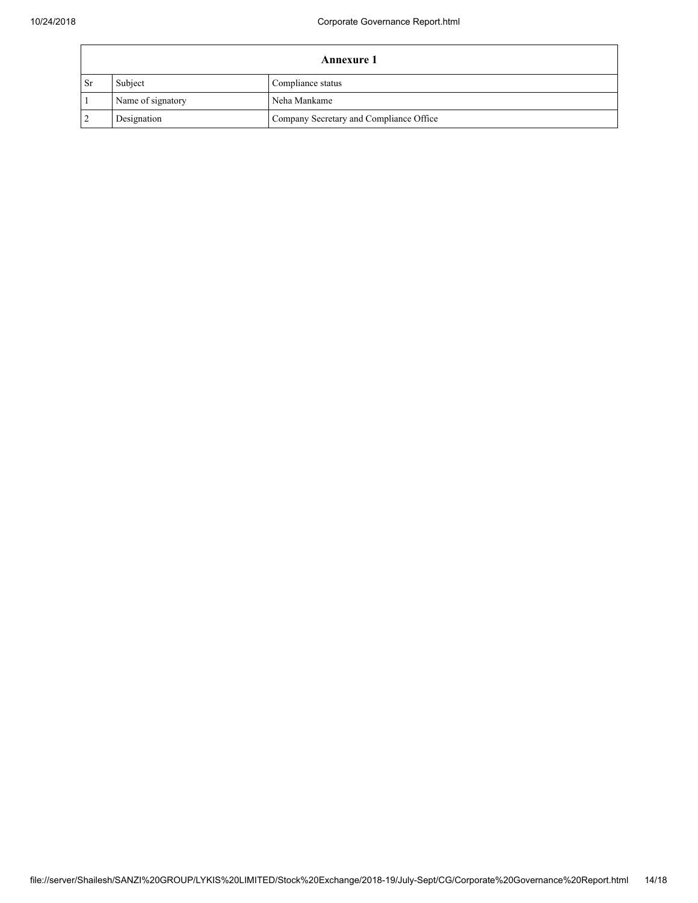| <b>Annexure 1</b> |                   |                                         |
|-------------------|-------------------|-----------------------------------------|
| <b>Sr</b>         | Subject           | Compliance status                       |
|                   | Name of signatory | Neha Mankame                            |
|                   | Designation       | Company Secretary and Compliance Office |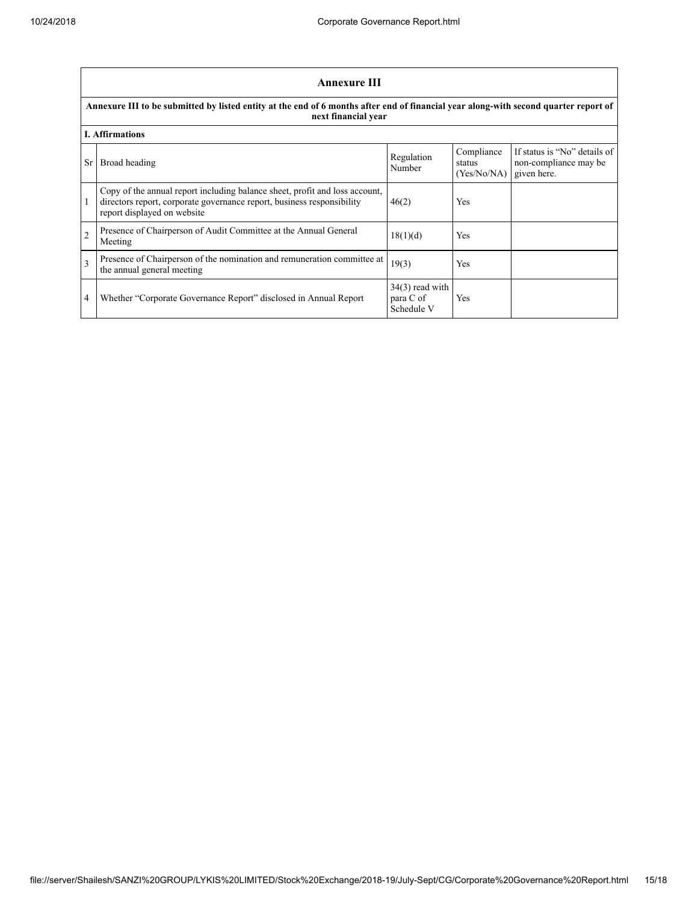٦

|                | <b>Annexure III</b>                                                                                                                                                                  |                                              |                                                   |                                                       |  |  |
|----------------|--------------------------------------------------------------------------------------------------------------------------------------------------------------------------------------|----------------------------------------------|---------------------------------------------------|-------------------------------------------------------|--|--|
|                | Annexure III to be submitted by listed entity at the end of 6 months after end of financial year along-with second quarter report of<br>next financial year                          |                                              |                                                   |                                                       |  |  |
|                | <b>I. Affirmations</b>                                                                                                                                                               |                                              |                                                   |                                                       |  |  |
| Sr.            | Broad heading                                                                                                                                                                        | Regulation<br>Number                         | Compliance<br>status<br>$(Yes/No/NA)$ given here. | If status is "No" details of<br>non-compliance may be |  |  |
|                | Copy of the annual report including balance sheet, profit and loss account,<br>directors report, corporate governance report, business responsibility<br>report displayed on website | 46(2)                                        | Yes                                               |                                                       |  |  |
| $\overline{2}$ | Presence of Chairperson of Audit Committee at the Annual General<br>Meeting                                                                                                          | 18(1)(d)                                     | Yes                                               |                                                       |  |  |
| 3              | Presence of Chairperson of the nomination and remuneration committee at<br>the annual general meeting                                                                                | 19(3)                                        | Yes                                               |                                                       |  |  |
| 4              | Whether "Corporate Governance Report" disclosed in Annual Report                                                                                                                     | $34(3)$ read with<br>para C of<br>Schedule V | Yes                                               |                                                       |  |  |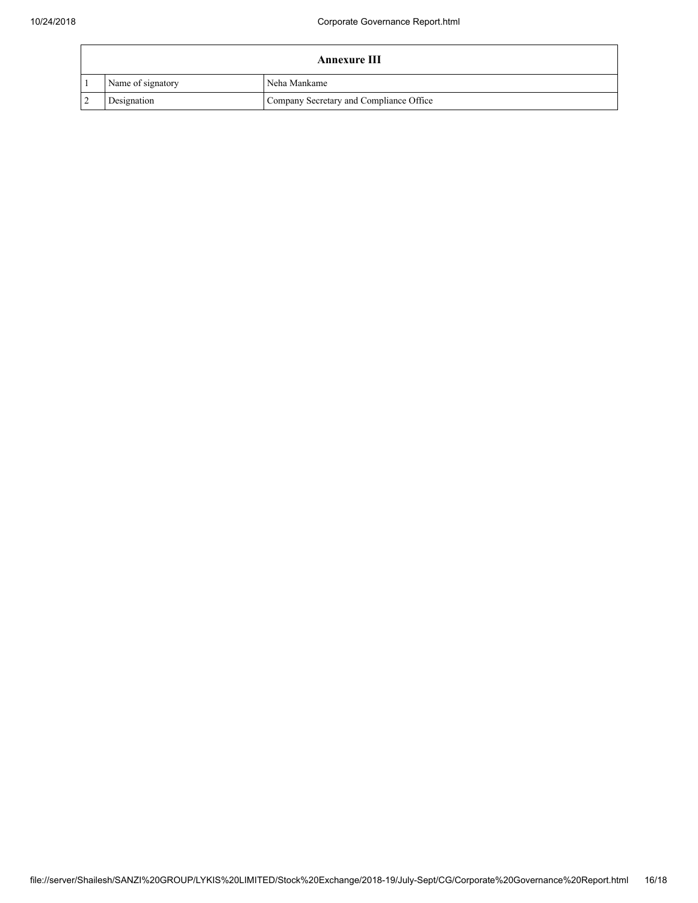| <b>Annexure III</b> |                   |                                         |
|---------------------|-------------------|-----------------------------------------|
|                     | Name of signatory | Neha Mankame                            |
|                     | Designation       | Company Secretary and Compliance Office |